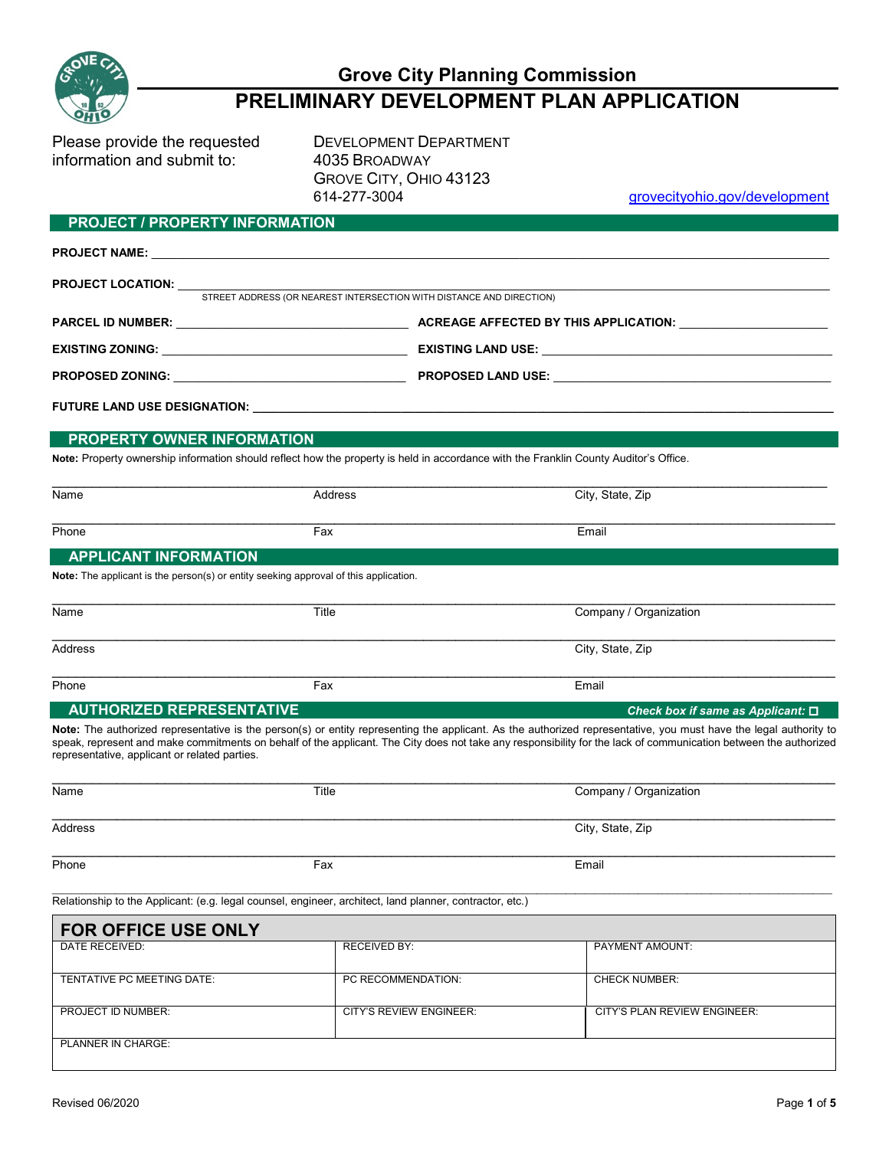

# **Grove City Planning Commission**

## **PRELIMINARY DEVELOPMENT PLAN APPLICATION**

Please provide the requested DEVELOPMENT DEPARTMENT information and submit to: 4035 BROADWAY

GROVE CITY, OHIO 43123

grovecityohio.gov/development

#### **PROJECT / PROPERTY INFORMATION**

| <b>PROJECT NAME:</b> The contract of the contract of the contract of the contract of the contract of the contract of the contract of the contract of the contract of the contract of the contract of the contract of the contract o |                                                                                                                                       |                                                                                    |  |  |
|-------------------------------------------------------------------------------------------------------------------------------------------------------------------------------------------------------------------------------------|---------------------------------------------------------------------------------------------------------------------------------------|------------------------------------------------------------------------------------|--|--|
| <b>PROJECT LOCATION:</b> STREET ADDRESS (OR NEAREST INTERSECTION WITH DISTANCE AND DIRECTION)                                                                                                                                       |                                                                                                                                       |                                                                                    |  |  |
|                                                                                                                                                                                                                                     |                                                                                                                                       |                                                                                    |  |  |
|                                                                                                                                                                                                                                     |                                                                                                                                       | PARCEL ID NUMBER: NATIONAL PARCEL ID NUMBER: ACREAGE AFFECTED BY THIS APPLICATION: |  |  |
| EXISTING ZONING: EXISTING LAND USE: EXISTING LAND USE:                                                                                                                                                                              |                                                                                                                                       |                                                                                    |  |  |
|                                                                                                                                                                                                                                     |                                                                                                                                       |                                                                                    |  |  |
|                                                                                                                                                                                                                                     |                                                                                                                                       |                                                                                    |  |  |
|                                                                                                                                                                                                                                     |                                                                                                                                       |                                                                                    |  |  |
| PROPERTY OWNER INFORMATION                                                                                                                                                                                                          |                                                                                                                                       |                                                                                    |  |  |
|                                                                                                                                                                                                                                     | Note: Property ownership information should reflect how the property is held in accordance with the Franklin County Auditor's Office. |                                                                                    |  |  |
| Name                                                                                                                                                                                                                                | <b>Address</b>                                                                                                                        | City, State, Zip                                                                   |  |  |
| Phone                                                                                                                                                                                                                               | Fax                                                                                                                                   | Email                                                                              |  |  |
| <b>APPLICANT INFORMATION</b>                                                                                                                                                                                                        |                                                                                                                                       |                                                                                    |  |  |
| <b>Note:</b> The applicant is the person(s) or entity seeking approval of this application.                                                                                                                                         |                                                                                                                                       |                                                                                    |  |  |
| Name                                                                                                                                                                                                                                | Title                                                                                                                                 | Company / Organization                                                             |  |  |
| Address                                                                                                                                                                                                                             |                                                                                                                                       | City, State, Zip                                                                   |  |  |
| Phone                                                                                                                                                                                                                               | Fax                                                                                                                                   | Email                                                                              |  |  |
| <b>AUTHORIZED REPRESENTATIVE</b>                                                                                                                                                                                                    |                                                                                                                                       | Check box if same as Applicant: $\square$                                          |  |  |

**Note:** The authorized representative is the person(s) or entity representing the applicant. As the authorized representative, you must have the legal authority to speak, represent and make commitments on behalf of the applicant. The City does not take any responsibility for the lack of communication between the authorized representative, applicant or related parties.

| Name    | Title | Company / Organization |
|---------|-------|------------------------|
|         |       |                        |
| Address |       | City, State, Zip       |
|         |       |                        |
| Phone   | Fax   | Email                  |
|         |       |                        |

-<br>Relationship to the Applicant: (e.g. legal counsel, engineer, architect, land planner, contractor, etc.)

| <b>FOR OFFICE USE ONLY</b> |                         |                              |  |
|----------------------------|-------------------------|------------------------------|--|
| DATE RECEIVED:             | <b>RECEIVED BY:</b>     | <b>PAYMENT AMOUNT:</b>       |  |
| TENTATIVE PC MEETING DATE: | PC RECOMMENDATION:      | <b>CHECK NUMBER:</b>         |  |
| <b>PROJECT ID NUMBER:</b>  | CITY'S REVIEW ENGINEER: | CITY'S PLAN REVIEW ENGINEER: |  |
| <b>PLANNER IN CHARGE:</b>  |                         |                              |  |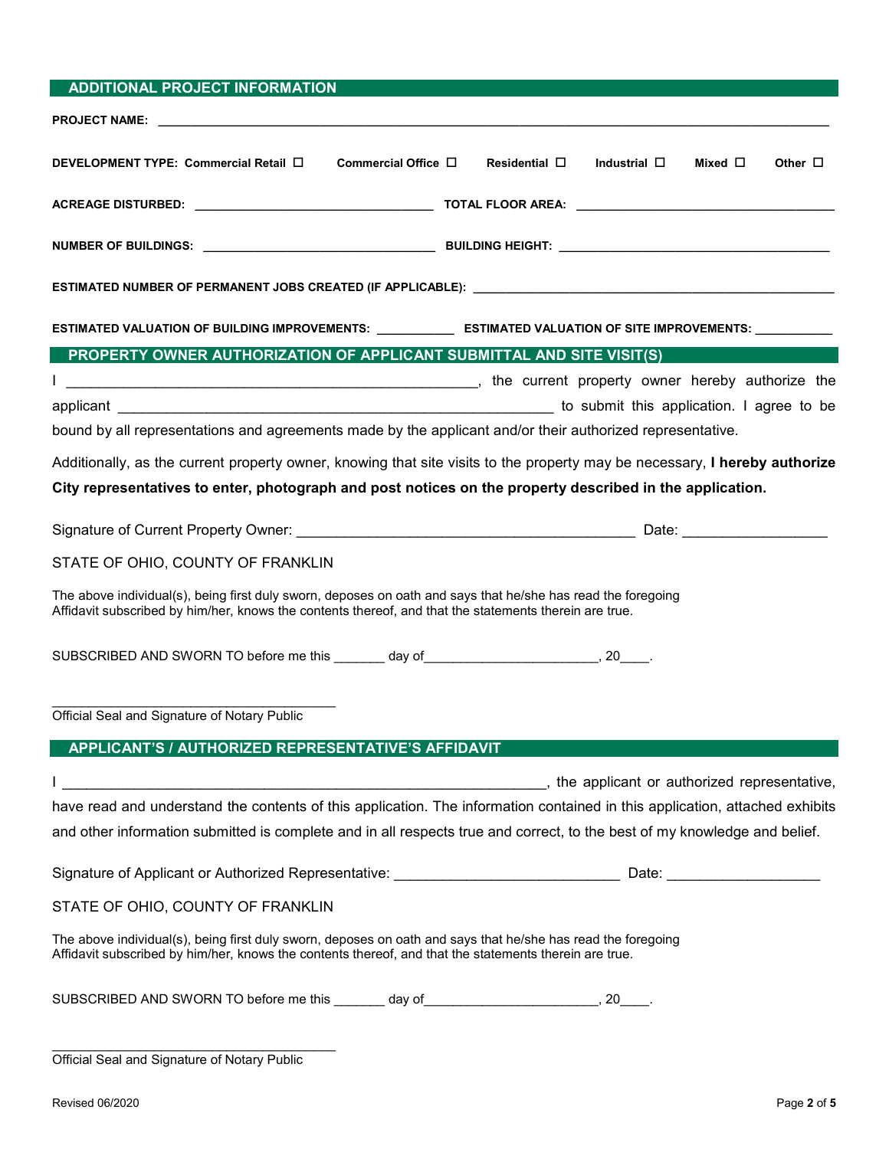| <b>ADDITIONAL PROJECT INFORMATION</b>                                                                                                                                                                                  |                                                                                                                             |  |
|------------------------------------------------------------------------------------------------------------------------------------------------------------------------------------------------------------------------|-----------------------------------------------------------------------------------------------------------------------------|--|
|                                                                                                                                                                                                                        |                                                                                                                             |  |
| DEVELOPMENT TYPE: Commercial Retail □<br>Commercial Office $\Box$                                                                                                                                                      | Residential $\square$<br>Industrial $\square$<br>Mixed $\square$<br>Other $\Box$                                            |  |
|                                                                                                                                                                                                                        |                                                                                                                             |  |
|                                                                                                                                                                                                                        |                                                                                                                             |  |
|                                                                                                                                                                                                                        | ESTIMATED NUMBER OF PERMANENT JOBS CREATED (IF APPLICABLE): _____________________                                           |  |
|                                                                                                                                                                                                                        | ESTIMATED VALUATION OF BUILDING IMPROVEMENTS: _______________ ESTIMATED VALUATION OF SITE IMPROVEMENTS: ___________         |  |
| PROPERTY OWNER AUTHORIZATION OF APPLICANT SUBMITTAL AND SITE VISIT(S)                                                                                                                                                  |                                                                                                                             |  |
| T                                                                                                                                                                                                                      | the current property owner hereby authorize the context of the state of the current property owner hereby authorize the     |  |
|                                                                                                                                                                                                                        |                                                                                                                             |  |
| bound by all representations and agreements made by the applicant and/or their authorized representative.                                                                                                              |                                                                                                                             |  |
|                                                                                                                                                                                                                        | Additionally, as the current property owner, knowing that site visits to the property may be necessary, I hereby authorize  |  |
| City representatives to enter, photograph and post notices on the property described in the application.                                                                                                               |                                                                                                                             |  |
|                                                                                                                                                                                                                        |                                                                                                                             |  |
|                                                                                                                                                                                                                        |                                                                                                                             |  |
| STATE OF OHIO, COUNTY OF FRANKLIN                                                                                                                                                                                      |                                                                                                                             |  |
| The above individual(s), being first duly sworn, deposes on oath and says that he/she has read the foregoing<br>Affidavit subscribed by him/her, knows the contents thereof, and that the statements therein are true. |                                                                                                                             |  |
| SUBSCRIBED AND SWORN TO before me this _______ day of ___________________________, 20____.                                                                                                                             |                                                                                                                             |  |
| Official Seal and Signature of Notary Public                                                                                                                                                                           |                                                                                                                             |  |
| APPLICANT'S / AUTHORIZED REPRESENTATIVE'S AFFIDAVIT                                                                                                                                                                    |                                                                                                                             |  |
|                                                                                                                                                                                                                        | the applicant or authorized representative, the service of the state of authorized representative,                          |  |
|                                                                                                                                                                                                                        | have read and understand the contents of this application. The information contained in this application, attached exhibits |  |
| and other information submitted is complete and in all respects true and correct, to the best of my knowledge and belief.                                                                                              |                                                                                                                             |  |
|                                                                                                                                                                                                                        |                                                                                                                             |  |
| STATE OF OHIO, COUNTY OF FRANKLIN                                                                                                                                                                                      |                                                                                                                             |  |
| The above individual(s), being first duly sworn, deposes on oath and says that he/she has read the foregoing<br>Affidavit subscribed by him/her, knows the contents thereof, and that the statements therein are true. |                                                                                                                             |  |
| SUBSCRIBED AND SWORN TO before me this ________ day of __________________________, 20_____.                                                                                                                            |                                                                                                                             |  |
| Official Seal and Signature of Notary Public                                                                                                                                                                           |                                                                                                                             |  |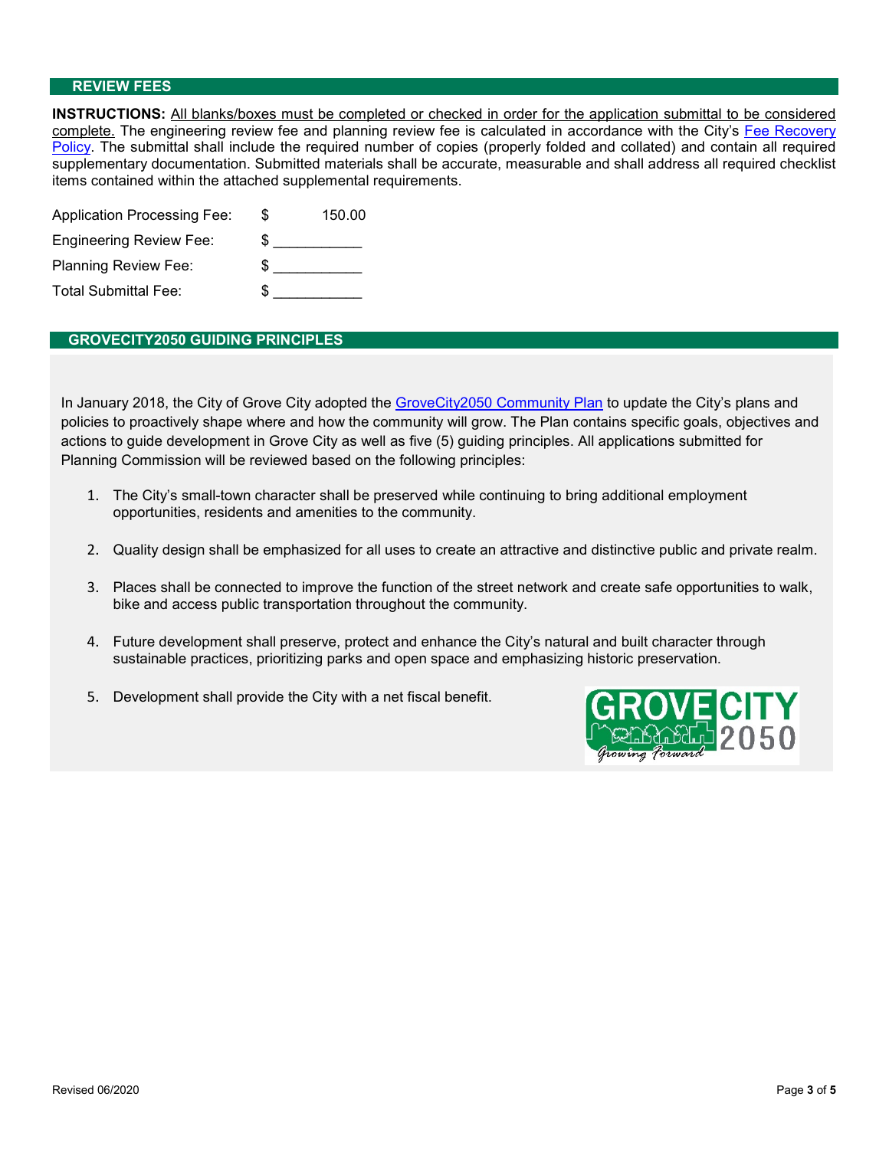#### **REVIEW FEES**

**INSTRUCTIONS:** All blanks/boxes must be completed or checked in order for the application submittal to be considered complete. The engineering review fee and planning review fee is calculated in accordance with the City's Fee Recovery Policy. The submittal shall include the required number of copies (properly folded and collated) and contain all required supplementary documentation. Submitted materials shall be accurate, measurable and shall address all required checklist items contained within the attached supplemental requirements.

| <b>Application Processing Fee:</b> | S  | 150.00 |
|------------------------------------|----|--------|
| <b>Engineering Review Fee:</b>     | \$ |        |
| <b>Planning Review Fee:</b>        | \$ |        |
| <b>Total Submittal Fee:</b>        |    |        |

#### **GROVECITY2050 GUIDING PRINCIPLES**

In January 2018, the City of Grove City adopted the GroveCity2050 Community Plan to update the City's plans and policies to proactively shape where and how the community will grow. The Plan contains specific goals, objectives and actions to guide development in Grove City as well as five (5) guiding principles. All applications submitted for Planning Commission will be reviewed based on the following principles:

- 1. The City's small-town character shall be preserved while continuing to bring additional employment opportunities, residents and amenities to the community.
- 2. Quality design shall be emphasized for all uses to create an attractive and distinctive public and private realm.
- 3. Places shall be connected to improve the function of the street network and create safe opportunities to walk, bike and access public transportation throughout the community.
- 4. Future development shall preserve, protect and enhance the City's natural and built character through sustainable practices, prioritizing parks and open space and emphasizing historic preservation.
- 5. Development shall provide the City with a net fiscal benefit.

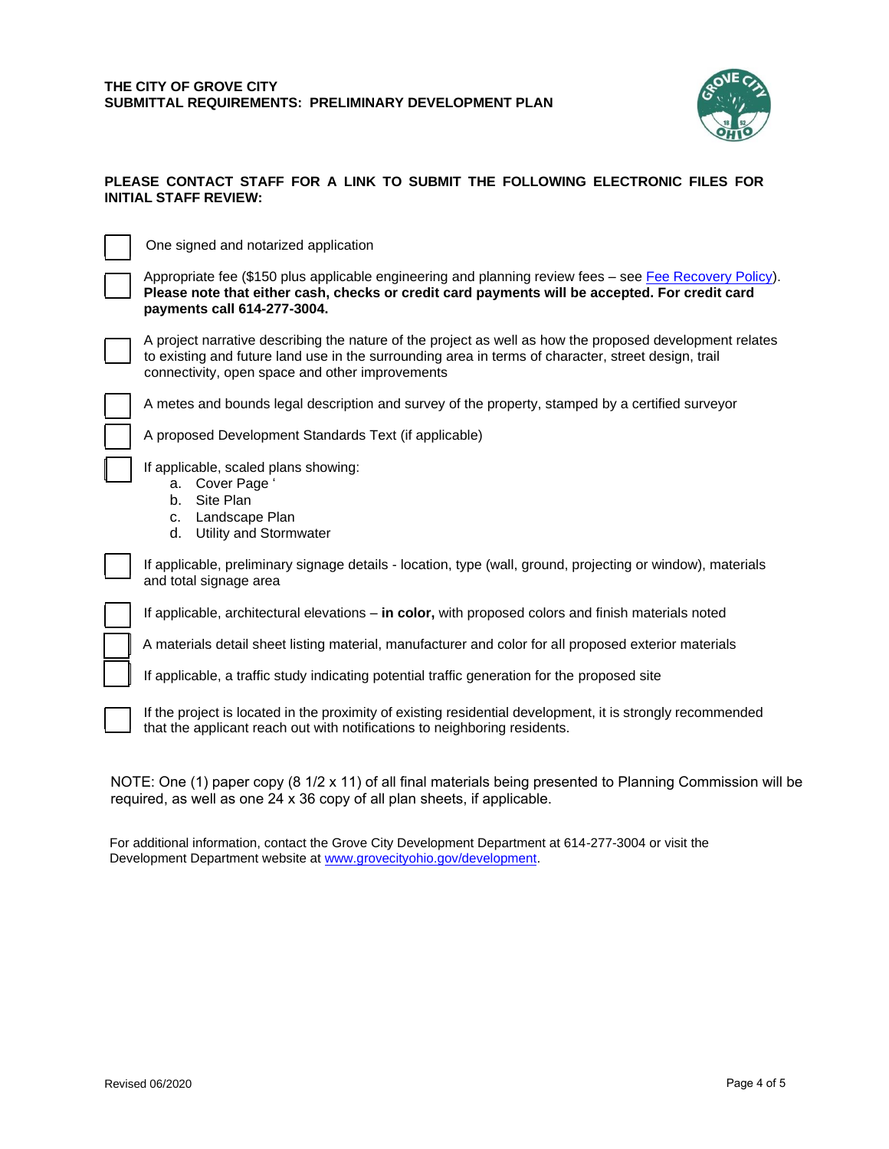

#### **PLEASE CONTACT STAFF FOR A LINK TO SUBMIT THE FOLLOWING ELECTRONIC FILES FOR INITIAL STAFF REVIEW:**

One signed and notarized application

Appropriate fee (\$150 plus applicable engineering and planning review fees – see [Fee Recovery Policy\)](file://///WFS01/Development/Fee%20Recovery%20Policy/GC_FeeRecoveryPolicy.pdf). **Please note that either cash, checks or credit card payments will be accepted. For credit card payments call 614-277-3004.**



A project narrative describing the nature of the project as well as how the proposed development relates to existing and future land use in the surrounding area in terms of character, street design, trail connectivity, open space and other improvements



A metes and bounds legal description and survey of the property, stamped by a certified surveyor

A proposed Development Standards Text (if applicable)

If applicable, scaled plans showing:

- a. Cover Page '
- b. Site Plan
- c. Landscape Plan
- d. Utility and Stormwater

If applicable, preliminary signage details - location, type (wall, ground, projecting or window), materials and total signage area

If applicable, architectural elevations – **in color,** with proposed colors and finish materials noted

A materials detail sheet listing material, manufacturer and color for all proposed exterior materials

If applicable, a traffic study indicating potential traffic generation for the proposed site

If the project is located in the proximity of existing residential development, it is strongly recommended that the applicant reach out with notifications to neighboring residents.

NOTE: One (1) paper copy (8 1/2 x 11) of all final materials being presented to Planning Commission will be required, as well as one 24 x 36 [copy of all plan sheets, if applicab](http://www.grovecityohio.gov/development)le.

For additional information, contact the Grove City Development Department at 614-277-3004 or visit the Development Department website at www.grovecityohio.gov/development.